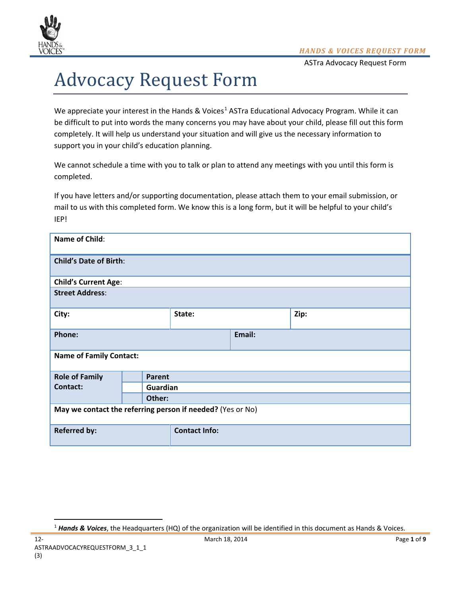

# Advocacy Request Form

We appreciate your interest in the Hands & Voices<sup>[1](#page-0-0)</sup> ASTra Educational Advocacy Program. While it can be difficult to put into words the many concerns you may have about your child, please fill out this form completely. It will help us understand your situation and will give us the necessary information to support you in your child's education planning.

We cannot schedule a time with you to talk or plan to attend any meetings with you until this form is completed.

If you have letters and/or supporting documentation, please attach them to your email submission, or mail to us with this completed form. We know this is a long form, but it will be helpful to your child's IEP!

| Name of Child:                                             |        |                      |        |      |
|------------------------------------------------------------|--------|----------------------|--------|------|
| <b>Child's Date of Birth:</b>                              |        |                      |        |      |
| <b>Child's Current Age:</b>                                |        |                      |        |      |
| <b>Street Address:</b>                                     |        |                      |        |      |
| City:                                                      |        | State:               |        | Zip: |
| Phone:                                                     |        |                      | Email: |      |
| <b>Name of Family Contact:</b>                             |        |                      |        |      |
| <b>Role of Family</b>                                      |        | Parent               |        |      |
| <b>Contact:</b>                                            |        | Guardian             |        |      |
|                                                            | Other: |                      |        |      |
| May we contact the referring person if needed? (Yes or No) |        |                      |        |      |
| <b>Referred by:</b>                                        |        | <b>Contact Info:</b> |        |      |

<span id="page-0-0"></span><sup>1</sup> *Hands & Voices*, the Headquarters (HQ) of the organization will be identified in this document as Hands & Voices.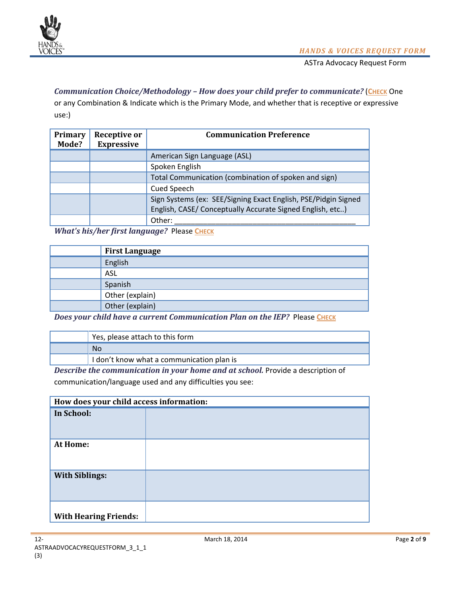

## **Communication Choice/Methodology - How does your child prefer to communicate? (CHECK** One

or any Combination & Indicate which is the Primary Mode, and whether that is receptive or expressive use:)

| Primary<br>Mode? | <b>Receptive or</b><br><b>Expressive</b> | <b>Communication Preference</b>                                                                                             |
|------------------|------------------------------------------|-----------------------------------------------------------------------------------------------------------------------------|
|                  |                                          | American Sign Language (ASL)                                                                                                |
|                  |                                          | Spoken English                                                                                                              |
|                  |                                          | Total Communication (combination of spoken and sign)                                                                        |
|                  |                                          | <b>Cued Speech</b>                                                                                                          |
|                  |                                          | Sign Systems (ex: SEE/Signing Exact English, PSE/Pidgin Signed<br>English, CASE/ Conceptually Accurate Signed English, etc) |
|                  |                                          | Other:                                                                                                                      |

*What's his/her first language?* Please CHECK

| <b>First Language</b> |
|-----------------------|
| English               |
| <b>ASL</b>            |
| Spanish               |
| Other (explain)       |
| Other (explain)       |

*Does your child have a current Communication Plan on the IEP?* **Please CHECK** 

| Yes, please attach to this form           |
|-------------------------------------------|
| No                                        |
| I don't know what a communication plan is |

*Describe the communication in your home and at school.* Provide a description of communication/language used and any difficulties you see:

| How does your child access information: |  |
|-----------------------------------------|--|
| In School:                              |  |
| At Home:                                |  |
| <b>With Siblings:</b>                   |  |
| <b>With Hearing Friends:</b>            |  |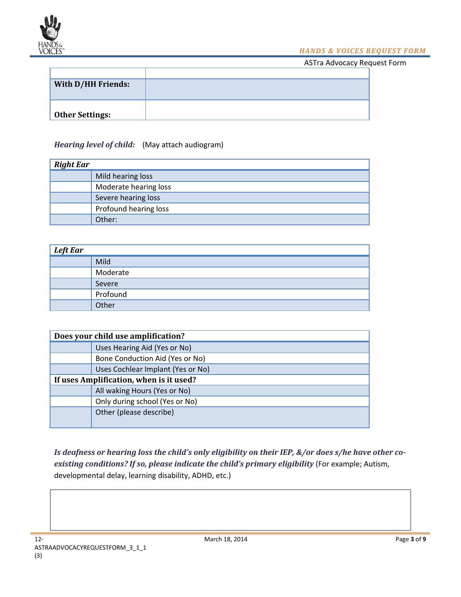

*HANDS & VOICES REQUEST FORM*

ASTra Advocacy Request Form

| With D/HH Friends:     |  |
|------------------------|--|
|                        |  |
|                        |  |
| <b>Other Settings:</b> |  |
|                        |  |

## *Hearing level of child:* (May attach audiogram)

| <b>Right Ear</b> |                       |
|------------------|-----------------------|
|                  | Mild hearing loss     |
|                  | Moderate hearing loss |
|                  | Severe hearing loss   |
|                  | Profound hearing loss |
|                  | Other:                |

| <b>Left Ear</b> |          |
|-----------------|----------|
|                 | Mild     |
|                 | Moderate |
|                 | Severe   |
|                 | Profound |
|                 | Other    |

| Does your child use amplification?      |                                   |  |
|-----------------------------------------|-----------------------------------|--|
|                                         | Uses Hearing Aid (Yes or No)      |  |
|                                         | Bone Conduction Aid (Yes or No)   |  |
|                                         | Uses Cochlear Implant (Yes or No) |  |
| If uses Amplification, when is it used? |                                   |  |
|                                         | All waking Hours (Yes or No)      |  |
|                                         | Only during school (Yes or No)    |  |
|                                         | Other (please describe)           |  |

*Is deafness or hearing loss the child's only eligibility on their IEP, &/or does s/he have other coexisting conditions? If so, please indicate the child's primary eligibility* (For example; Autism, developmental delay, learning disability, ADHD, etc.)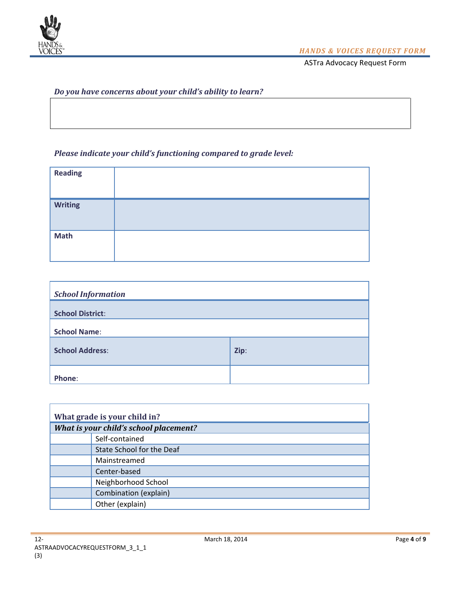

## *Do you have concerns about your child's ability to learn?*

## *Please indicate your child's functioning compared to grade level:*

| <b>Reading</b> |  |
|----------------|--|
| <b>Writing</b> |  |
| <b>Math</b>    |  |

| <b>School Information</b> |      |
|---------------------------|------|
| <b>School District:</b>   |      |
| <b>School Name:</b>       |      |
| <b>School Address:</b>    | Zip: |
| Phone:                    |      |

| What grade is your child in?           |                           |  |
|----------------------------------------|---------------------------|--|
| What is your child's school placement? |                           |  |
|                                        | Self-contained            |  |
|                                        | State School for the Deaf |  |
|                                        | Mainstreamed              |  |
|                                        | Center-based              |  |
|                                        | Neighborhood School       |  |
|                                        | Combination (explain)     |  |
|                                        | Other (explain)           |  |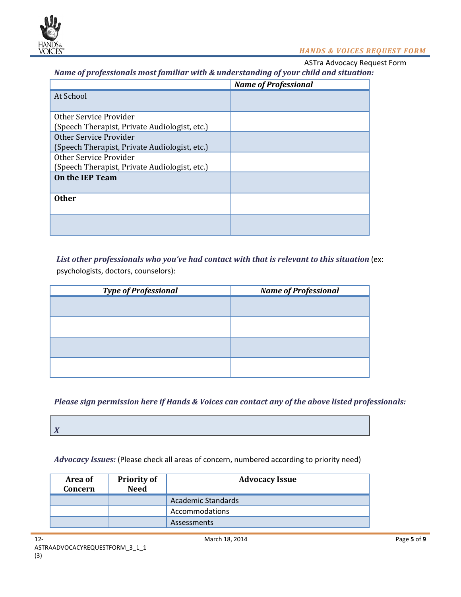

#### *HANDS & VOICES REQUEST FORM*

ASTra Advocacy Request Form

*Name of professionals most familiar with & understanding of your child and situation:*

|                                               | <b>Name of Professional</b> |
|-----------------------------------------------|-----------------------------|
| At School                                     |                             |
|                                               |                             |
| Other Service Provider                        |                             |
| (Speech Therapist, Private Audiologist, etc.) |                             |
| Other Service Provider                        |                             |
| (Speech Therapist, Private Audiologist, etc.) |                             |
| Other Service Provider                        |                             |
| (Speech Therapist, Private Audiologist, etc.) |                             |
| <b>On the IEP Team</b>                        |                             |
|                                               |                             |
| <b>Other</b>                                  |                             |
|                                               |                             |
|                                               |                             |
|                                               |                             |

*List other professionals who you've had contact with that is relevant to this situation* (ex: psychologists, doctors, counselors):

| <b>Type of Professional</b> | <b>Name of Professional</b> |
|-----------------------------|-----------------------------|
|                             |                             |
|                             |                             |
|                             |                             |
|                             |                             |

*Please sign permission here if Hands & Voices can contact any of the above listed professionals:* 

*Advocacy Issues:* (Please check all areas of concern, numbered according to priority need)

| Area of<br>Concern | <b>Priority of</b><br><b>Need</b> | <b>Advocacy Issue</b> |
|--------------------|-----------------------------------|-----------------------|
|                    |                                   | Academic Standards    |
|                    |                                   | Accommodations        |
|                    |                                   | <b>Assessments</b>    |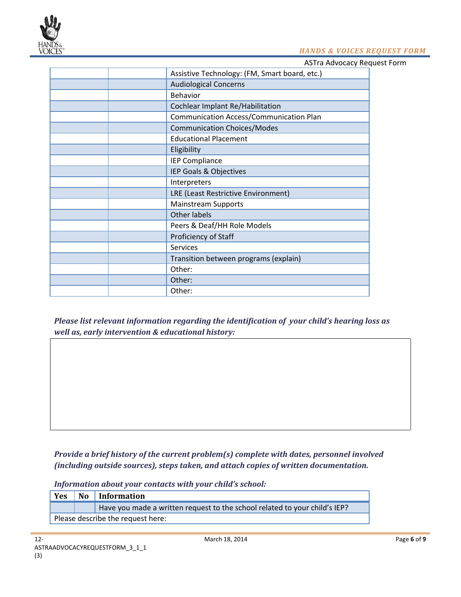

#### *HANDS & VOICES REQUEST FORM*

ASTra Advocacy Request Form

| Assistive Technology: (FM, Smart board, etc.) |
|-----------------------------------------------|
| <b>Audiological Concerns</b>                  |
| <b>Behavior</b>                               |
| Cochlear Implant Re/Habilitation              |
| Communication Access/Communication Plan       |
| <b>Communication Choices/Modes</b>            |
| <b>Educational Placement</b>                  |
| Eligibility                                   |
| <b>IEP Compliance</b>                         |
| IEP Goals & Objectives                        |
| Interpreters                                  |
| LRE (Least Restrictive Environment)           |
| <b>Mainstream Supports</b>                    |
| Other labels                                  |
| Peers & Deaf/HH Role Models                   |
| Proficiency of Staff                          |
| Services                                      |
| Transition between programs (explain)         |
| Other:                                        |
| Other:                                        |
| Other:                                        |

*Please list relevant information regarding the identification of your child's hearing loss as well as, early intervention & educational history:*

*Provide a brief history of the current problem(s) complete with dates, personnel involved (including outside sources), steps taken, and attach copies of written documentation.*

*Information about your contacts with your child's school:* 

**Yes No Information** Have you made a written request to the school related to your child's IEP? Please describe the request here: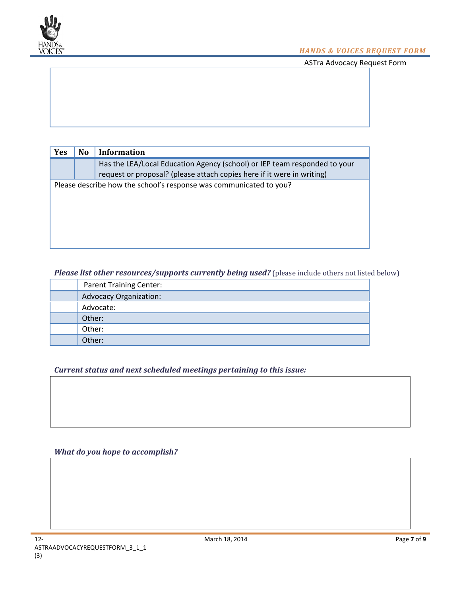

| <b>Yes</b> | N <sub>0</sub>                                                     | Information                                                               |  |
|------------|--------------------------------------------------------------------|---------------------------------------------------------------------------|--|
|            |                                                                    | Has the LEA/Local Education Agency (school) or IEP team responded to your |  |
|            |                                                                    | request or proposal? (please attach copies here if it were in writing)    |  |
|            | Please describe how the school's response was communicated to you? |                                                                           |  |
|            |                                                                    |                                                                           |  |
|            |                                                                    |                                                                           |  |
|            |                                                                    |                                                                           |  |
|            |                                                                    |                                                                           |  |
|            |                                                                    |                                                                           |  |

*Please list other resources/supports currently being used?* (please include others not listed below)

| <b>Parent Training Center:</b> |
|--------------------------------|
| <b>Advocacy Organization:</b>  |
| Advocate:                      |
| Other:                         |
| Other:                         |
| Other:                         |

*Current status and next scheduled meetings pertaining to this issue:*

### *What do you hope to accomplish?*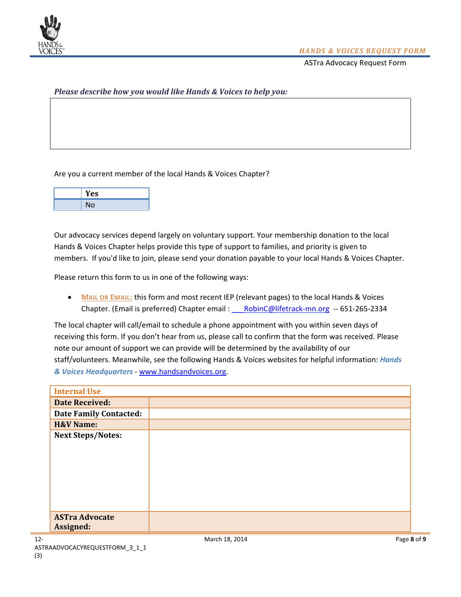

#### *Please describe how you would like Hands & Voices to help you:*

Are you a current member of the local Hands & Voices Chapter?

| Yes |
|-----|
| No  |

Our advocacy services depend largely on voluntary support. Your membership donation to the local Hands & Voices Chapter helps provide this type of support to families, and priority is given to members. If you'd like to join, please send your donation payable to your local Hands & Voices Chapter.

Please return this form to us in one of the following ways:

• **MAIL OR EMAIL:** this form and most recent IEP (relevant pages) to the local Hands & Voices Chapter. (Email is preferred) Chapter email : RobinC@lifetrack-mn.org -- 651-265-2334

The local chapter will call/email to schedule a phone appointment with you within seven days of receiving this form. If you don't hear from us, please call to confirm that the form was received. Please note our amount of support we can provide will be determined by the availability of our staff/volunteers. Meanwhile, see the following Hands & Voices websites for helpful information: *Hands & Voices Headquarters* - [www.handsandvoices.org.](http://www.handsandvoices.org/)

| <b>Internal Use</b>           |  |
|-------------------------------|--|
| <b>Date Received:</b>         |  |
| <b>Date Family Contacted:</b> |  |
| <b>H&amp;V Name:</b>          |  |
| <b>Next Steps/Notes:</b>      |  |
|                               |  |
|                               |  |
|                               |  |
|                               |  |
|                               |  |
|                               |  |
| <b>ASTra Advocate</b>         |  |
| Assigned:                     |  |